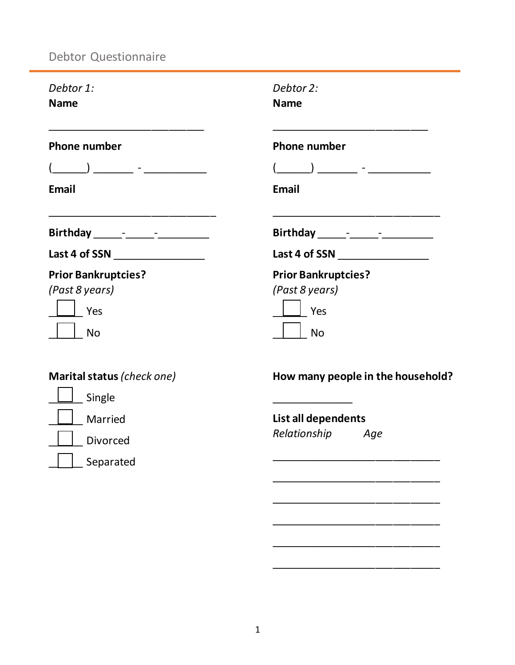## Debtor Questionnaire

| <b>Name</b><br><b>Name</b>                                      |  |
|-----------------------------------------------------------------|--|
| <b>Phone number</b><br><b>Phone number</b>                      |  |
| ) and the set of the set of $\sim$                              |  |
| Email<br>Email                                                  |  |
|                                                                 |  |
| Last 4 of SSN ________________                                  |  |
| <b>Prior Bankruptcies?</b><br><b>Prior Bankruptcies?</b>        |  |
| (Past 8 years)<br>(Past 8 years)                                |  |
| Yes<br>Yes                                                      |  |
| <b>No</b><br><b>No</b>                                          |  |
| Marital status (check one)<br>How many people in the household? |  |
| Single                                                          |  |
| List all dependents<br>Married                                  |  |
| Relationship<br>Age<br><b>Divorced</b>                          |  |
| Separated                                                       |  |
|                                                                 |  |

\_\_\_\_\_\_\_\_\_\_\_\_\_\_\_\_\_\_\_\_\_\_\_\_\_\_\_\_\_

\_\_\_\_\_\_\_\_\_\_\_\_\_\_\_\_\_\_\_\_\_\_\_\_\_\_\_\_\_

\_\_\_\_\_\_\_\_\_\_\_\_\_\_\_\_\_\_\_\_\_\_\_\_\_\_\_\_\_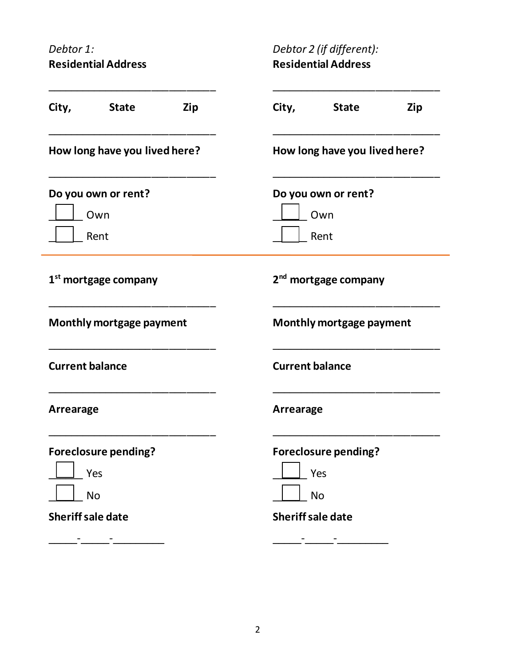*Debtor 1:* **Residential Address** *Debtor 2 (if different):* **Residential Address**

| City,<br><b>State</b>                           | Zip | City,<br><b>State</b><br>Zip                    |
|-------------------------------------------------|-----|-------------------------------------------------|
| How long have you lived here?                   |     | How long have you lived here?                   |
| Do you own or rent?<br>Own<br>Rent              |     | Do you own or rent?<br>Own<br>Rent              |
| 1 <sup>st</sup> mortgage company                |     | 2 <sup>nd</sup> mortgage company                |
| Monthly mortgage payment                        |     | Monthly mortgage payment                        |
| <b>Current balance</b>                          |     | <b>Current balance</b>                          |
| Arrearage                                       |     | Arrearage                                       |
| <b>Foreclosure pending?</b><br>Yes<br><b>No</b> |     | <b>Foreclosure pending?</b><br>Yes<br><b>No</b> |
| <b>Sheriff sale date</b>                        |     | <b>Sheriff sale date</b>                        |
|                                                 |     |                                                 |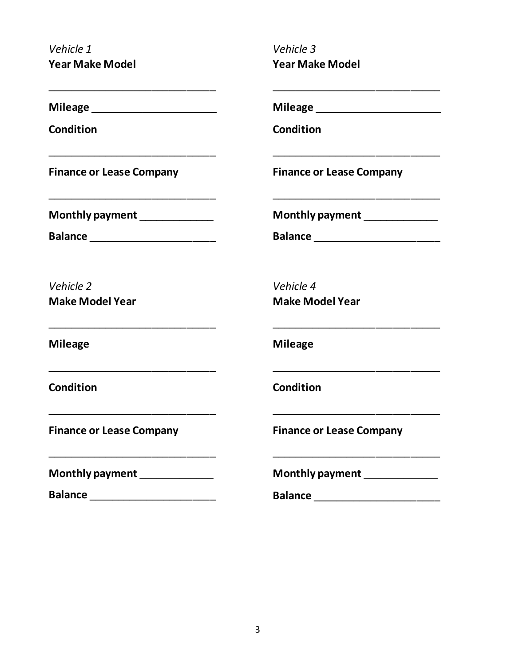*Vehicle 1* **Year Make Model**  *Vehicle 3* **Year Make Model** 

| Milea<br>ge |  |
|-------------|--|
|-------------|--|

**Condition**

**Finance or Lease Company**

**Monthly payment** 

**Balance \_\_\_\_\_\_\_\_\_\_\_\_\_\_\_\_\_\_\_** 

\_\_\_\_\_\_\_\_\_\_\_\_\_\_\_\_\_\_\_\_\_\_\_\_\_\_\_\_\_

\_\_\_\_\_\_\_\_\_\_\_\_\_\_\_\_\_\_\_\_\_\_\_\_\_\_\_\_\_

\_\_\_\_\_\_\_\_\_\_\_\_\_\_\_\_\_\_\_\_\_\_\_\_\_\_\_\_\_

\_\_\_\_\_\_\_\_\_\_\_\_\_\_\_\_\_\_\_\_\_\_\_\_\_\_\_\_\_

\_\_\_\_\_\_\_\_\_\_\_\_\_\_\_\_\_\_\_\_\_\_\_\_\_\_\_\_\_

\_\_\_\_\_\_\_\_\_\_\_\_\_\_\_\_\_\_\_\_\_\_\_\_\_\_\_\_\_

*Vehicle 2* **Make Model Year**

**Mileage**

**Condition**

**Finance or Lease Company**

**Monthly payment** \_\_\_\_\_\_\_\_\_\_\_\_\_

**Balance** \_\_\_\_\_\_\_\_\_\_\_\_\_\_\_\_\_\_\_\_\_\_

**Mileage** \_\_\_\_\_\_\_\_\_\_\_\_\_\_\_\_\_\_\_\_\_\_

**Condition**

**Finance or Lease Company**

**Monthly payment** \_\_\_\_\_\_\_\_\_\_\_\_\_

**Balance \_\_\_\_\_\_\_\_\_\_\_\_\_\_\_\_\_\_\_** 

\_\_\_\_\_\_\_\_\_\_\_\_\_\_\_\_\_\_\_\_\_\_\_\_\_\_\_\_\_

\_\_\_\_\_\_\_\_\_\_\_\_\_\_\_\_\_\_\_\_\_\_\_\_\_\_\_\_\_

\_\_\_\_\_\_\_\_\_\_\_\_\_\_\_\_\_\_\_\_\_\_\_\_\_\_\_\_\_

\_\_\_\_\_\_\_\_\_\_\_\_\_\_\_\_\_\_\_\_\_\_\_\_\_\_\_\_\_

\_\_\_\_\_\_\_\_\_\_\_\_\_\_\_\_\_\_\_\_\_\_\_\_\_\_\_\_\_

\_\_\_\_\_\_\_\_\_\_\_\_\_\_\_\_\_\_\_\_\_\_\_\_\_\_\_\_\_

*Vehicle 4* **Make Model Year**

**Mileage**

**Condition**

**Finance or Lease Company**

**Monthly payment** \_\_\_\_\_\_\_\_\_\_\_\_\_

**Balance** \_\_\_\_\_\_\_\_\_\_\_\_\_\_\_\_\_\_\_\_\_\_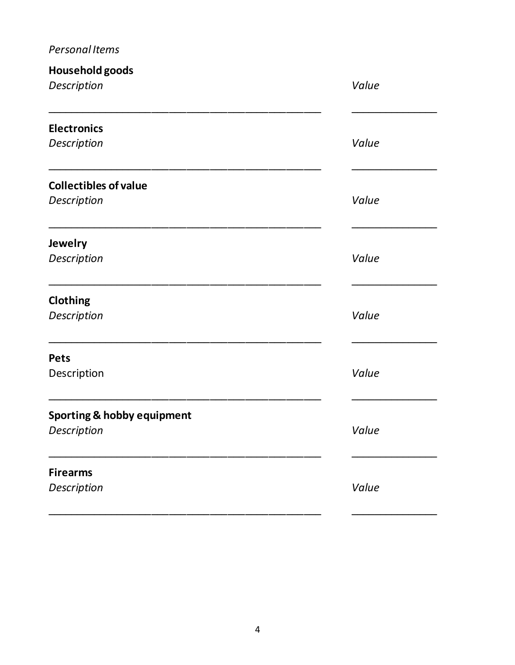## *Personal Items*

| Household goods<br>Description                       | Value |
|------------------------------------------------------|-------|
| <b>Electronics</b><br>Description                    | Value |
| <b>Collectibles of value</b><br>Description          | Value |
| <b>Jewelry</b><br>Description                        | Value |
| Clothing<br>Description                              | Value |
| <b>Pets</b><br>Description                           | Value |
| <b>Sporting &amp; hobby equipment</b><br>Description | Value |
| <b>Firearms</b><br>Description                       | Value |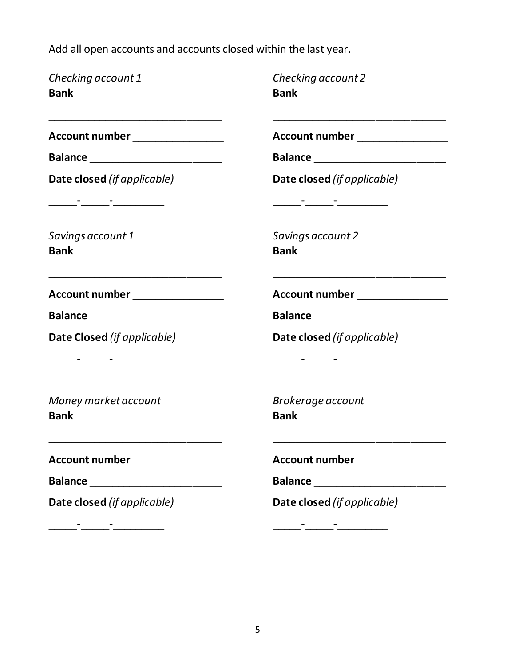Add all open accounts and accounts closed within the last year.

| Checking account 1<br><b>Bank</b>                                                                                                                       | Checking account 2<br><b>Bank</b>                                                                                                                   |
|---------------------------------------------------------------------------------------------------------------------------------------------------------|-----------------------------------------------------------------------------------------------------------------------------------------------------|
| <u> 1980 - Jan James James James James James James James James James James James James James James James James J</u><br>Account number ________________ | Account number _________________                                                                                                                    |
| Balance ___________________________                                                                                                                     |                                                                                                                                                     |
| Date closed (if applicable)                                                                                                                             | Date closed (if applicable)<br><u> 2002 - Jan Barbara Barbara, prima popular popular popular popular popular popular popular popular popular po</u> |
| Savings account 1<br><b>Bank</b>                                                                                                                        | Savings account 2<br><b>Bank</b>                                                                                                                    |
| Account number ________________                                                                                                                         | Account number __________________                                                                                                                   |
| Balance ________________________                                                                                                                        | Balance _________________________                                                                                                                   |
| Date Closed (if applicable)                                                                                                                             | Date closed (if applicable)                                                                                                                         |
| Money market account<br><b>Bank</b>                                                                                                                     | <b>Brokerage account</b><br><b>Bank</b>                                                                                                             |
| Account number ________________                                                                                                                         | Account number __________________                                                                                                                   |
| Balance _________________________                                                                                                                       | Balance _________________________                                                                                                                   |
| Date closed (if applicable)                                                                                                                             | Date closed (if applicable)                                                                                                                         |
|                                                                                                                                                         |                                                                                                                                                     |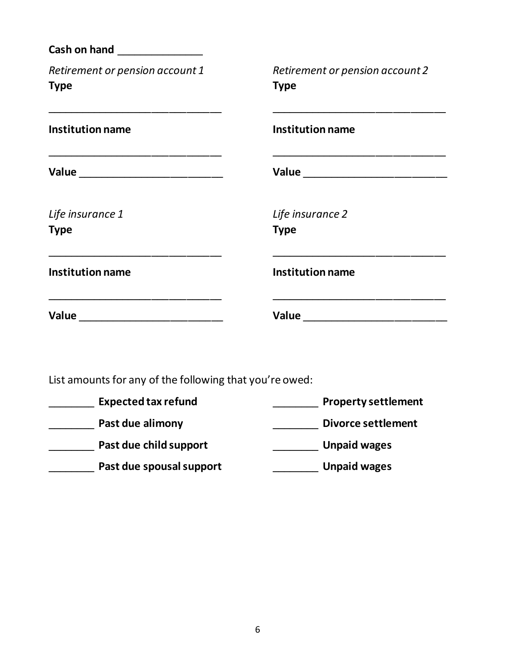| <b>Cash on hand Cash on hand</b>                                                          |                                                                                                                                                                                                                                      |  |
|-------------------------------------------------------------------------------------------|--------------------------------------------------------------------------------------------------------------------------------------------------------------------------------------------------------------------------------------|--|
| Retirement or pension account 1<br><b>Type</b>                                            | Retirement or pension account 2<br><b>Type</b>                                                                                                                                                                                       |  |
| <b>Institution name</b>                                                                   | <b>Institution name</b>                                                                                                                                                                                                              |  |
|                                                                                           | Value _______________________________                                                                                                                                                                                                |  |
| Life insurance 1<br><b>Type</b>                                                           | Life insurance 2<br><b>Type</b>                                                                                                                                                                                                      |  |
| <b>Institution name</b>                                                                   | <b>Institution name</b>                                                                                                                                                                                                              |  |
| the control of the control of the control of the control of the control of the control of | <u> 1990 - Johann John Stone, markin amerikan basar dan berkembang di banyak di banyak di banyak di banyak di banyak di banyak di banyak di banyak di banyak di banyak di banyak di banyak di banyak di banyak di banyak di bany</u> |  |
| List amounts for any of the following that you're owed:                                   |                                                                                                                                                                                                                                      |  |
| Expected tax refund                                                                       | <b>Example 1 Property settlement</b>                                                                                                                                                                                                 |  |
| <b>Example 2 Past due alimony</b>                                                         | <b>Divorce settlement</b>                                                                                                                                                                                                            |  |
| <b>Past due child support</b>                                                             | Unpaid wages                                                                                                                                                                                                                         |  |

\_\_\_\_\_\_\_\_ **Past due spousal support** \_\_\_\_\_\_\_\_ **Unpaid wages**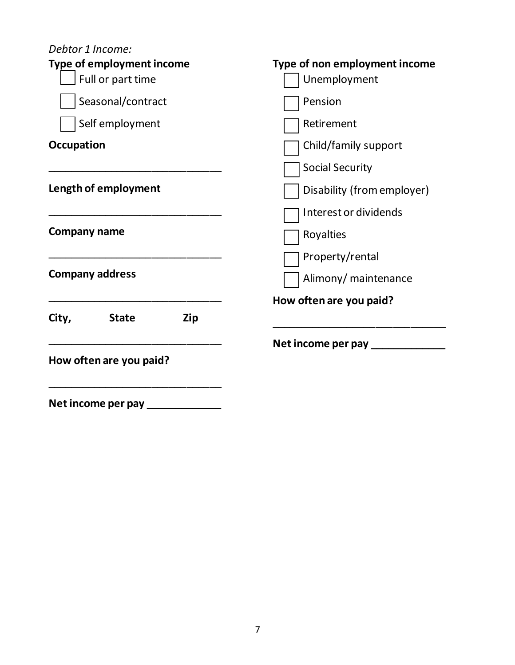| Debtor 1 Income:<br><b>Type of employment income</b><br>Full or part time | Type of non employment income<br>Unemployment |
|---------------------------------------------------------------------------|-----------------------------------------------|
| Seasonal/contract                                                         | Pension                                       |
| Self employment                                                           | Retirement                                    |
| <b>Occupation</b>                                                         | Child/family support                          |
|                                                                           | <b>Social Security</b>                        |
| Length of employment                                                      | Disability (from employer)                    |
|                                                                           | Interest or dividends                         |
| <b>Company name</b>                                                       | Royalties                                     |
|                                                                           | Property/rental                               |
| <b>Company address</b><br>Alimony/ maintenance                            |                                               |
|                                                                           | How often are you paid?                       |
| City,<br><b>State</b><br>Zip                                              |                                               |
|                                                                           | Net income per pay ____________               |
| How often are you paid?                                                   |                                               |
| Net income per pay                                                        |                                               |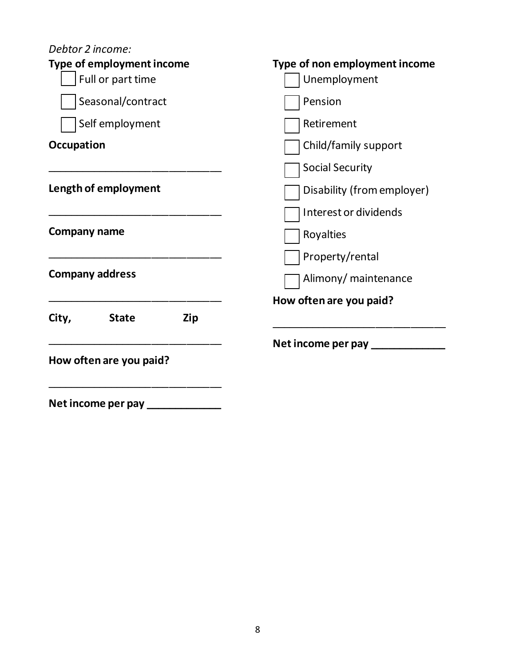| Debtor 2 income:                                      |                                               |
|-------------------------------------------------------|-----------------------------------------------|
| <b>Type of employment income</b><br>Full or part time | Type of non employment income<br>Unemployment |
| Seasonal/contract                                     | Pension                                       |
| Self employment                                       | Retirement                                    |
| <b>Occupation</b>                                     | Child/family support                          |
|                                                       | <b>Social Security</b>                        |
| Length of employment                                  | Disability (from employer)                    |
|                                                       | Interest or dividends                         |
| Company name                                          | Royalties                                     |
|                                                       | Property/rental                               |
| <b>Company address</b>                                | Alimony/ maintenance                          |
|                                                       | How often are you paid?                       |
| City,<br><b>State</b><br>Zip                          |                                               |
|                                                       | Net income per pay ___________                |
| How often are you paid?                               |                                               |
| Net income per pay                                    |                                               |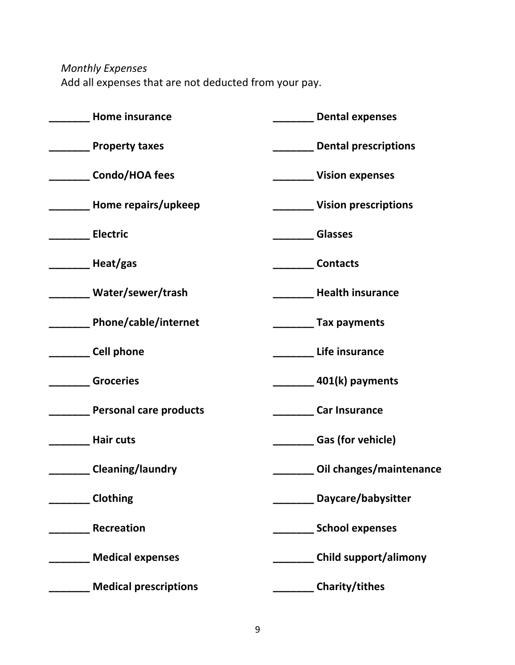*Monthly Expenses*

Add all expenses that are not deducted from your pay.

| Home insurance                | <b>Dental expenses</b>       |  |  |
|-------------------------------|------------------------------|--|--|
| <b>Property taxes</b>         | <b>Dental prescriptions</b>  |  |  |
| Condo/HOA fees                | <b>Vision expenses</b>       |  |  |
| Home repairs/upkeep           | <b>Vision prescriptions</b>  |  |  |
| <b>Electric</b>               | <b>Glasses</b>               |  |  |
| Heat/gas                      | <b>Contacts</b>              |  |  |
| Water/sewer/trash             | <b>Health insurance</b>      |  |  |
| Phone/cable/internet          | <b>Tax payments</b>          |  |  |
| <b>Cell phone</b>             | Life insurance               |  |  |
| <b>Groceries</b>              | 401(k) payments              |  |  |
| <b>Personal care products</b> | <b>Car Insurance</b>         |  |  |
| <b>Hair cuts</b>              | <b>Gas (for vehicle)</b>     |  |  |
| <b>Cleaning/laundry</b>       | Oil changes/maintenance      |  |  |
| <b>Clothing</b>               | Daycare/babysitter           |  |  |
| <b>Recreation</b>             | <b>School expenses</b>       |  |  |
| <b>Medical expenses</b>       | <b>Child support/alimony</b> |  |  |
| <b>Medical prescriptions</b>  | Charity/tithes               |  |  |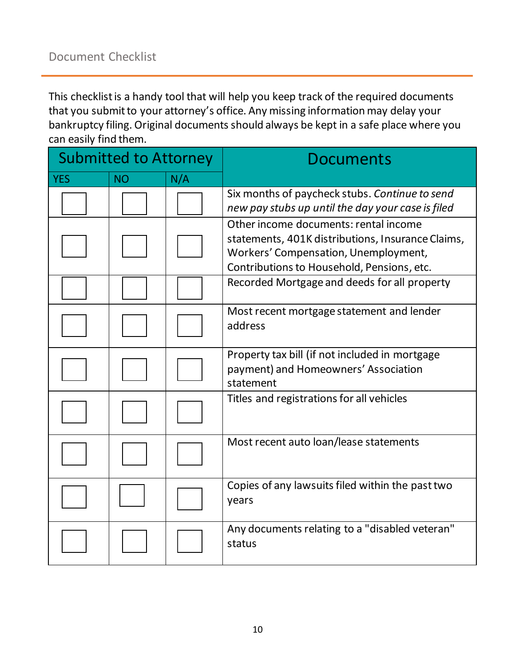This checklist is a handy tool that will help you keep track of the required documents that you submit to your attorney's office. Any missing information may delay your bankruptcy filing. Original documents should always be kept in a safe place where you can easily find them.

| <b>Submitted to Attorney</b> |           |     | <b>Documents</b>                                                                                                                                                                 |
|------------------------------|-----------|-----|----------------------------------------------------------------------------------------------------------------------------------------------------------------------------------|
| <b>YES</b>                   | <b>NO</b> | N/A |                                                                                                                                                                                  |
|                              |           |     | Six months of paycheck stubs. Continue to send<br>new pay stubs up until the day your case is filed                                                                              |
|                              |           |     | Other income documents: rental income<br>statements, 401K distributions, Insurance Claims,<br>Workers' Compensation, Unemployment,<br>Contributions to Household, Pensions, etc. |
|                              |           |     | Recorded Mortgage and deeds for all property                                                                                                                                     |
|                              |           |     | Most recent mortgage statement and lender<br>address                                                                                                                             |
|                              |           |     | Property tax bill (if not included in mortgage<br>payment) and Homeowners' Association<br>statement                                                                              |
|                              |           |     | Titles and registrations for all vehicles                                                                                                                                        |
|                              |           |     | Most recent auto loan/lease statements                                                                                                                                           |
|                              |           |     | Copies of any lawsuits filed within the past two<br>years                                                                                                                        |
|                              |           |     | Any documents relating to a "disabled veteran"<br>status                                                                                                                         |